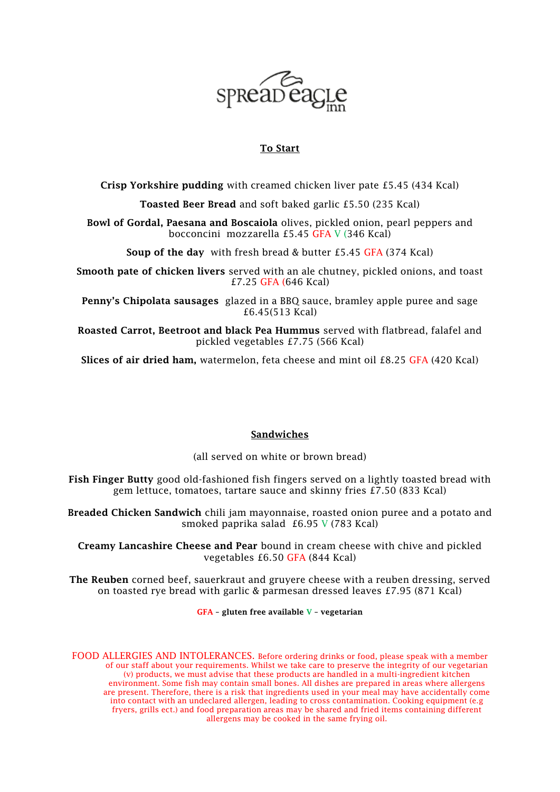

## To Start

Crisp Yorkshire pudding with creamed chicken liver pate £5.45 (434 Kcal)

Toasted Beer Bread and soft baked garlic £5.50 (235 Kcal)

Bowl of Gordal, Paesana and Boscaiola olives, pickled onion, pearl peppers and bocconcini mozzarella £5.45 GFA V (346 Kcal)

Soup of the day with fresh bread & butter £5.45 GFA (374 Kcal)

Smooth pate of chicken livers served with an ale chutney, pickled onions, and toast £7.25 GFA (646 Kcal)

Penny's Chipolata sausages glazed in a BBQ sauce, bramley apple puree and sage £6.45(513 Kcal)

Roasted Carrot, Beetroot and black Pea Hummus served with flatbread, falafel and pickled vegetables £7.75 (566 Kcal)

Slices of air dried ham, watermelon, feta cheese and mint oil £8.25 GFA (420 Kcal)

## Sandwiches

(all served on white or brown bread)

Fish Finger Butty good old-fashioned fish fingers served on a lightly toasted bread with gem lettuce, tomatoes, tartare sauce and skinny fries £7.50 (833 Kcal)

Breaded Chicken Sandwich chili jam mayonnaise, roasted onion puree and a potato and smoked paprika salad £6.95 V (783 Kcal)

Creamy Lancashire Cheese and Pear bound in cream cheese with chive and pickled vegetables £6.50 GFA (844 Kcal)

The Reuben corned beef, sauerkraut and gruyere cheese with a reuben dressing, served on toasted rye bread with garlic & parmesan dressed leaves £7.95 (871 Kcal)

GFA – gluten free available V – vegetarian

FOOD ALLERGIES AND INTOLERANCES. Before ordering drinks or food, please speak with a member of our staff about your requirements. Whilst we take care to preserve the integrity of our vegetarian (v) products, we must advise that these products are handled in a multi-ingredient kitchen environment. Some fish may contain small bones. All dishes are prepared in areas where allergens are present. Therefore, there is a risk that ingredients used in your meal may have accidentally come into contact with an undeclared allergen, leading to cross contamination. Cooking equipment (e.g fryers, grills ect.) and food preparation areas may be shared and fried items containing different allergens may be cooked in the same frying oil.